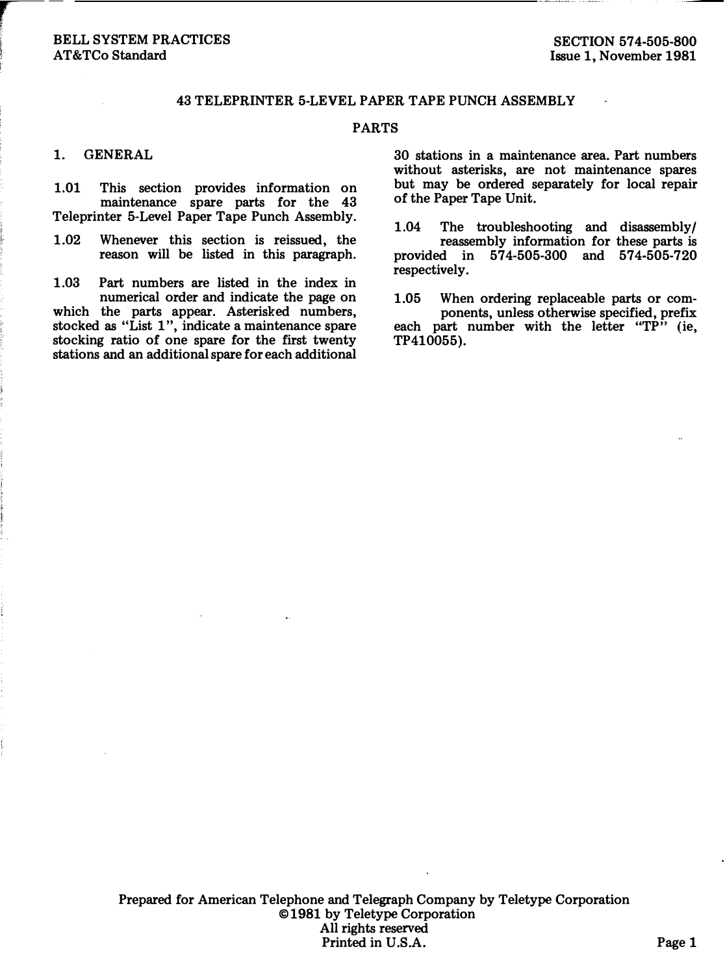## BELL SYSTEM PRACTICES AT&TCo Standard

## 43 TELEPRINTER 5-LEVEL PAPER TAPE PUNCH ASSEMBLY

#### PARTS

### 1. GENERAL

r-

1.01 This section provides information on maintenance spare parts for the 43 Teleprinter 5-Level Paper Tape Punch Assembly.

1.02 Whenever this section is reissued, the reason will be listed in this paragraph.

1.03 Part numbers are listed in the index in numerical order and indicate the page on which the parts appear. Asterisked numbers, stocked as "List 1", indicate a maintenance spare stocking ratio of one spare for the first twenty stations and an additional spare for each additional

30 stations in a maintenance area. Part numbers without asterisks, are not maintenance spares but may be ordered separately for local repair of the Paper Tape Unit.

1.04 The troubleshooting and disassembly/ reassembly information for these parts is provided in 574-505-300 and 574-505-720 respectively.

1.05 When ordering replaceable parts or components, unless otherwise specified, prefix each part number with the letter " $T\hat{P}$ " (ie, TP410055).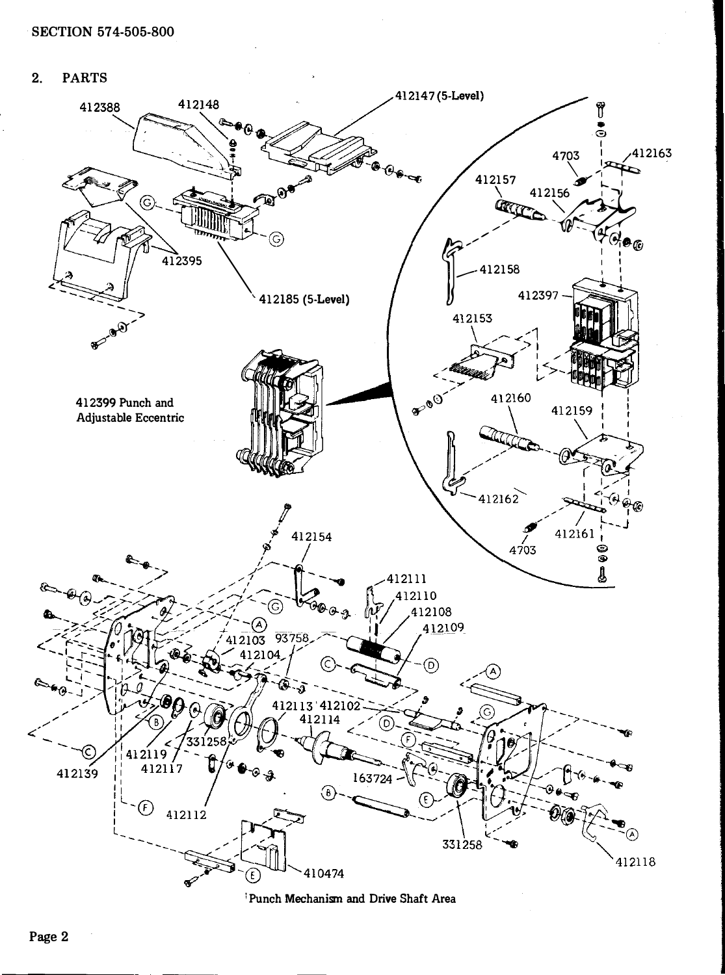$2.$ **PARTS** 



Punch Mechanism and Drive Shaft Area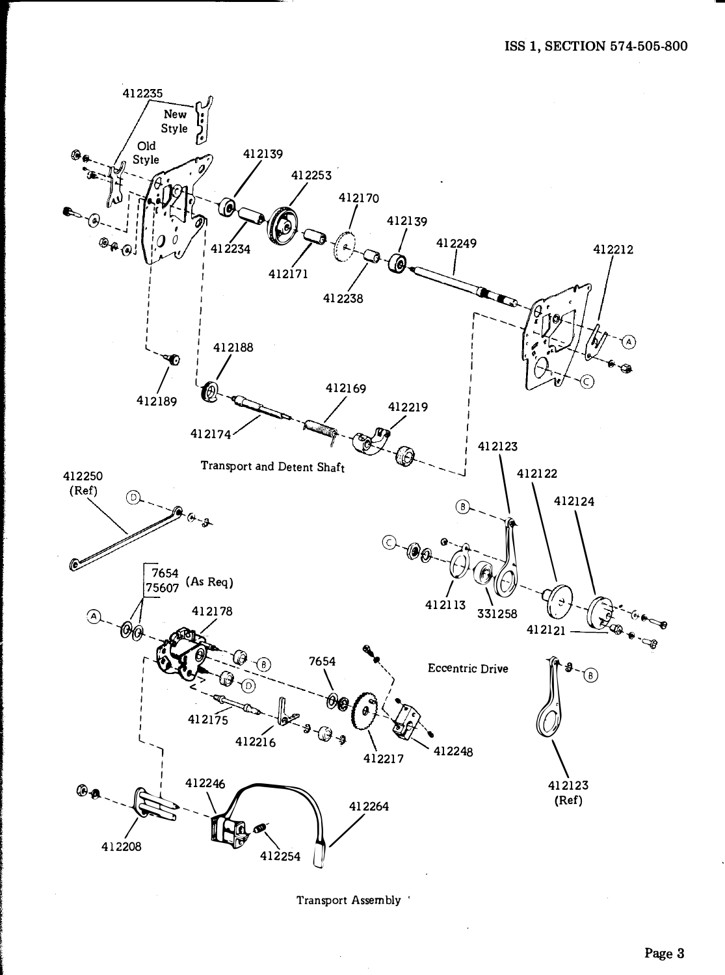

Transport Assembly